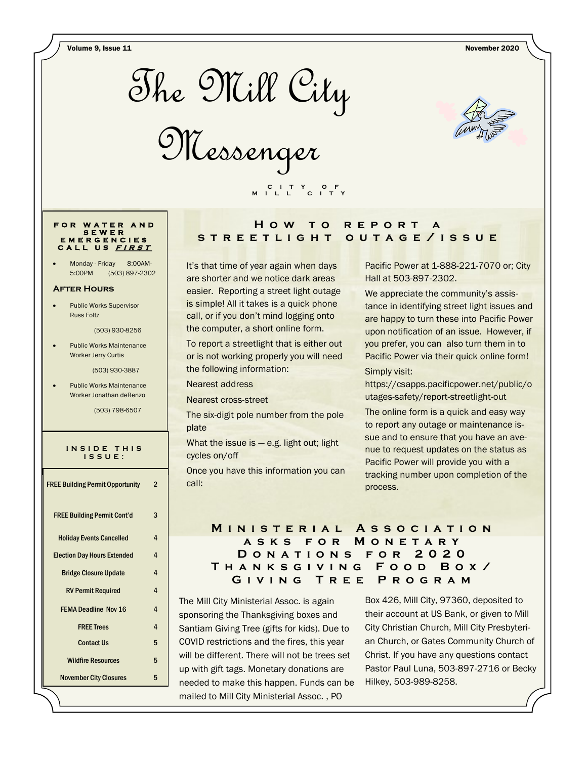Volume 9, Issue 11 November 2020



Messenger



## **F O R W A T E R A N D S E W E R E M E R G E N C I E S C A L L U S <sup>F</sup> <sup>I</sup> <sup>R</sup> <sup>S</sup> <sup>T</sup>**

Monday - Friday 8:00AM-5:00PM (503) 897-2302

#### **After Hours**

 Public Works Supervisor Russ Foltz

(503) 930-8256

 Public Works Maintenance Worker Jerry Curtis

(503) 930-3887

 Public Works Maintenance Worker Jonathan deRenzo

(503) 798-6507

#### **I N S I D E T H I S I S S U E :**

| <b>FREE Building Permit Opportunity</b> | 2              |
|-----------------------------------------|----------------|
| <b>FREE Building Permit Cont'd</b>      | 3              |
| <b>Holiday Events Cancelled</b>         | 4              |
| <b>Election Day Hours Extended</b>      | 4              |
| <b>Bridge Closure Update</b>            | 4              |
| <b>RV Permit Required</b>               | 4              |
| <b>FEMA Deadline Nov 16</b>             | $\overline{4}$ |
| <b>FREE Trees</b>                       | $\overline{4}$ |
| <b>Contact Us</b>                       | 5              |
| <b>Wildfire Resources</b>               | 5              |
| <b>November City Closures</b>           | 5              |

# **H o w t o r e p o r t a s t r e e t l i g h t o u t a g e / i s s u e**

It's that time of year again when days are shorter and we notice dark areas easier. Reporting a street light outage is simple! All it takes is a quick phone call, or if you don't mind logging onto the computer, a short online form.

 **C I T Y O F M I L L C I T Y**

To report a streetlight that is either out or is not working properly you will need the following information:

#### Nearest address

Nearest cross-street

The six-digit pole number from the pole plate

What the issue is  $-$  e.g. light out; light cycles on/off

Once you have this information you can call:

## Pacific Power at 1-888-221-7070 or; City Hall at 503-897-2302.

We appreciate the community's assistance in identifying street light issues and are happy to turn these into Pacific Power upon notification of an issue. However, if you prefer, you can also turn them in to Pacific Power via their quick online form!

## Simply visit:

https://csapps.pacificpower.net/public/o utages-safety/report-streetlight-out

The online form is a quick and easy way to report any outage or maintenance issue and to ensure that you have an avenue to request updates on the status as Pacific Power will provide you with a tracking number upon completion of the process.

## **M i n i s t e r i a l A s s o c i a t i o n a s k s f o r M o n e t a r y D o n a t i o n s f o r 2 0 2 0 T h a n k s g i v i n g F o o d B o x / G i v i n g T r e e P r o g r a m**

The Mill City Ministerial Assoc. is again sponsoring the Thanksgiving boxes and Santiam Giving Tree (gifts for kids). Due to COVID restrictions and the fires, this year will be different. There will not be trees set up with gift tags. Monetary donations are needed to make this happen. Funds can be mailed to Mill City Ministerial Assoc. , PO

Box 426, Mill City, 97360, deposited to their account at US Bank, or given to Mill City Christian Church, Mill City Presbyterian Church, or Gates Community Church of Christ. If you have any questions contact Pastor Paul Luna, 503-897-2716 or Becky Hilkey, 503-989-8258.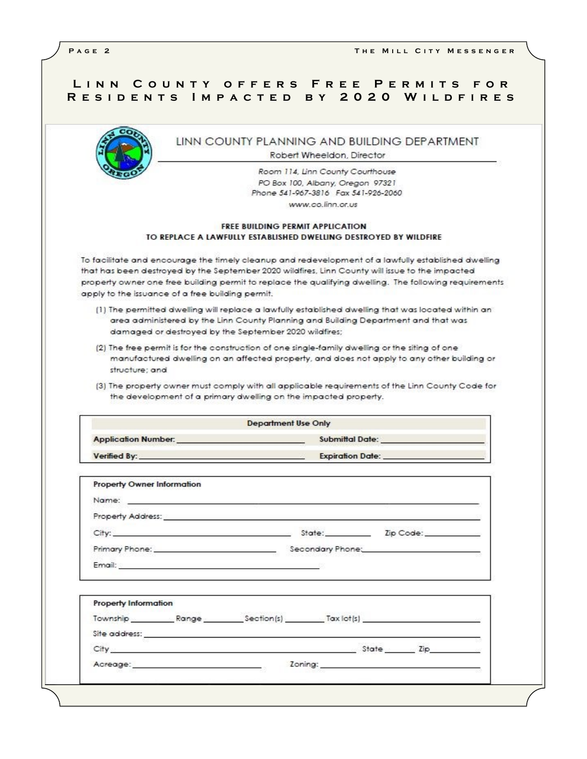| LINN COUNTY OFFERS FREE PERMITS FOR<br>RESIDENTS IMPACTED BY 2020 WILDFIRES                                                                                                                                                                       |  |
|---------------------------------------------------------------------------------------------------------------------------------------------------------------------------------------------------------------------------------------------------|--|
| LINN COUNTY PLANNING AND BUILDING DEPARTMENT<br>Robert Wheeldon, Director                                                                                                                                                                         |  |
| Room 114, Linn County Courthouse                                                                                                                                                                                                                  |  |
| PO Box 100, Albany, Oregon 97321                                                                                                                                                                                                                  |  |
| Phone 541-967-3816 Fax 541-926-2060                                                                                                                                                                                                               |  |
| www.co.linn.or.us                                                                                                                                                                                                                                 |  |
| <b>FREE RIJIIDING PERMIT APPLICATION</b>                                                                                                                                                                                                          |  |
| TO REPLACE A LAWFULLY ESTABLISHED DWELLING DESTROYED BY WILDFIRE                                                                                                                                                                                  |  |
| To facilitate and encourage the timely cleanup and redevelopment of a lawfully established dwelling<br>that has been destroyed by the September 2020 wildfires, Linn County will issue to the impacted                                            |  |
| property owner one free building permit to replace the qualifying dwelling. The following requirements                                                                                                                                            |  |
| apply to the issuance of a free building permit.                                                                                                                                                                                                  |  |
| [1] The permitted dwelling will replace a lawfully established dwelling that was located within an<br>area administered by the Linn County Planning and Building Department and that was<br>damaged or destroyed by the September 2020 wildfires; |  |

- (2) The free permit is for the construction of one single-family dwelling or the siting of one manufactured dwelling on an affected property, and does not apply to any other building or structure; and
- (3) The property owner must comply with all applicable requirements of the Linn County Code for the development of a primary dwelling on the impacted property.

|                            | <b>Department Use Only</b> |
|----------------------------|----------------------------|
| <b>Application Number:</b> | Submittal Date:            |
| Verified By:               | <b>Expiration Date:</b>    |

|                             |                                                                                                                                                                                                                                | City: City: City: City: Code: 21 Discovery 2012 - 21 Discovery 2012 - 21 Discovery 2012 - 22 Discovery 2012 - 2 |  |
|-----------------------------|--------------------------------------------------------------------------------------------------------------------------------------------------------------------------------------------------------------------------------|-----------------------------------------------------------------------------------------------------------------|--|
|                             |                                                                                                                                                                                                                                |                                                                                                                 |  |
|                             | Email: And a strategic contract of the contract of the contract of the contract of the contract of the contract of the contract of the contract of the contract of the contract of the contract of the contract of the contrac |                                                                                                                 |  |
|                             |                                                                                                                                                                                                                                |                                                                                                                 |  |
|                             |                                                                                                                                                                                                                                |                                                                                                                 |  |
|                             |                                                                                                                                                                                                                                | Township Range Section(s) Tax lot(s)                                                                            |  |
|                             |                                                                                                                                                                                                                                |                                                                                                                 |  |
| <b>Property Information</b> |                                                                                                                                                                                                                                | City State Zip                                                                                                  |  |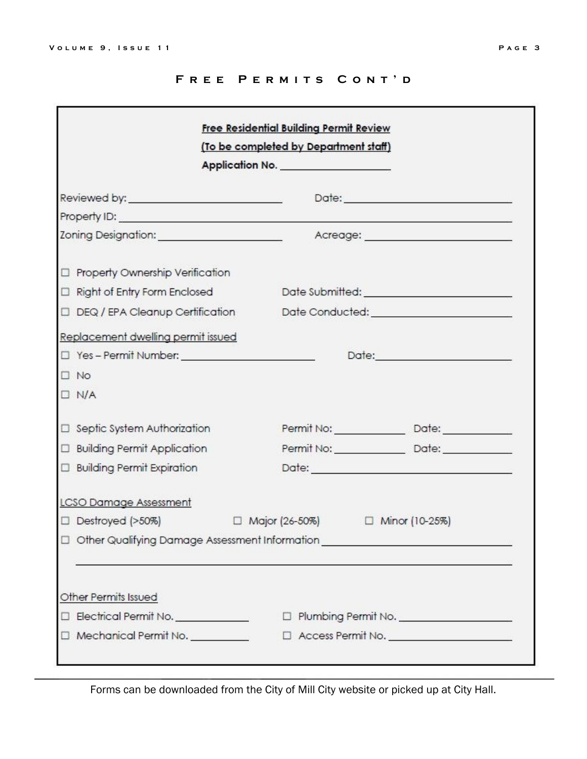## FREE PERMITS CONT'D

|                                                 | (To be completed by Department staff)                                            |
|-------------------------------------------------|----------------------------------------------------------------------------------|
|                                                 | Application No.                                                                  |
|                                                 |                                                                                  |
|                                                 |                                                                                  |
|                                                 | Acreage: <u>________________________</u>                                         |
| Property Ownership Verification                 |                                                                                  |
| Right of Entry Form Enclosed                    | Date Submitted: ___________________________                                      |
|                                                 | DEQ / EPA Cleanup Certification Date Conducted: ________________________________ |
| Replacement dwelling permit issued              |                                                                                  |
| □ Yes - Permit Number: ________________________ |                                                                                  |
| $\square$ No                                    |                                                                                  |
| $\Box$ N/A                                      |                                                                                  |
| □ Septic System Authorization                   |                                                                                  |
| □ Building Permit Application                   |                                                                                  |
| <b>D</b> Building Permit Expiration             |                                                                                  |
| <b>LCSO Damage Assessment</b>                   |                                                                                  |
|                                                 | □ Destroyed (>50%)      □ Major (26-50%)     □ Minor (10-25%)                    |
|                                                 | Other Qualifying Damage Assessment Information _________________________________ |
|                                                 |                                                                                  |
|                                                 |                                                                                  |
| Other Permits Issued                            |                                                                                  |
| Electrical Permit No. __________                | D Plumbing Permit No. __________________                                         |
| $\Box$ Mechanical Permit No.                    | □ Access Permit No. <u>__________________</u>                                    |

Forms can be downloaded from the City of Mill City website or picked up at City Hall.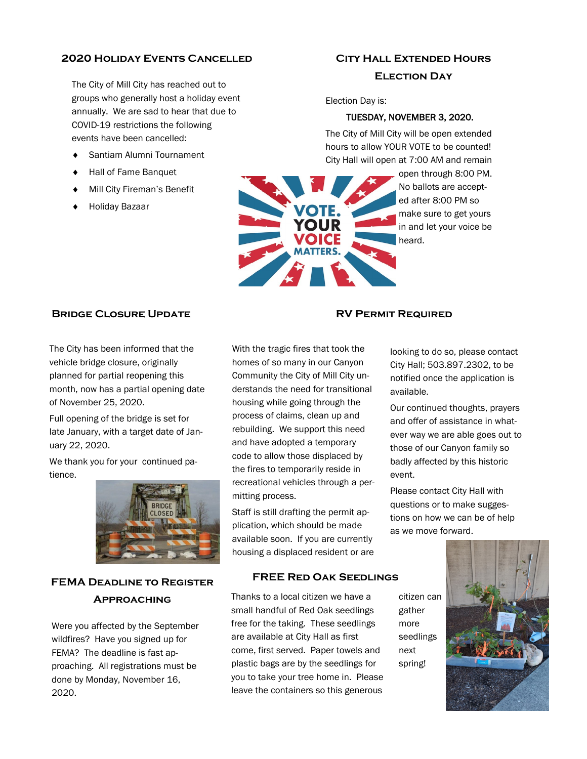## **2020 Holiday Events Cancelled**

The City of Mill City has reached out to groups who generally host a holiday event annually. We are sad to hear that due to COVID-19 restrictions the following events have been cancelled:

- Santiam Alumni Tournament
- Hall of Fame Banquet
- Mill City Fireman's Benefit
- Holiday Bazaar

# **City Hall Extended Hours Election Day**

Election Day is:

## TUESDAY, NOVEMBER 3, 2020.

The City of Mill City will be open extended hours to allow YOUR VOTE to be counted! City Hall will open at 7:00 AM and remain



open through 8:00 PM. No ballots are accepted after 8:00 PM so make sure to get yours in and let your voice be heard.

## **Bridge Closure Update**

The City has been informed that the vehicle bridge closure, originally planned for partial reopening this month, now has a partial opening date of November 25, 2020.

Full opening of the bridge is set for late January, with a target date of January 22, 2020.

We thank you for your continued patience.



# **FEMA Deadline to Register Approaching**

Were you affected by the September wildfires? Have you signed up for FEMA? The deadline is fast approaching. All registrations must be done by Monday, November 16, 2020.

## **RV Permit Required**

With the tragic fires that took the homes of so many in our Canyon Community the City of Mill City understands the need for transitional housing while going through the process of claims, clean up and rebuilding. We support this need and have adopted a temporary code to allow those displaced by the fires to temporarily reside in recreational vehicles through a permitting process.

Staff is still drafting the permit application, which should be made available soon. If you are currently housing a displaced resident or are

## **FREE Red Oak Seedlings**

Thanks to a local citizen we have a small handful of Red Oak seedlings free for the taking. These seedlings are available at City Hall as first come, first served. Paper towels and plastic bags are by the seedlings for you to take your tree home in. Please leave the containers so this generous

City Hall; 503.897.2302, to be notified once the application is available. Our continued thoughts, prayers

looking to do so, please contact

and offer of assistance in whatever way we are able goes out to those of our Canyon family so badly affected by this historic event.

Please contact City Hall with questions or to make suggestions on how we can be of help as we move forward.

citizen can gather more seedlings next spring!